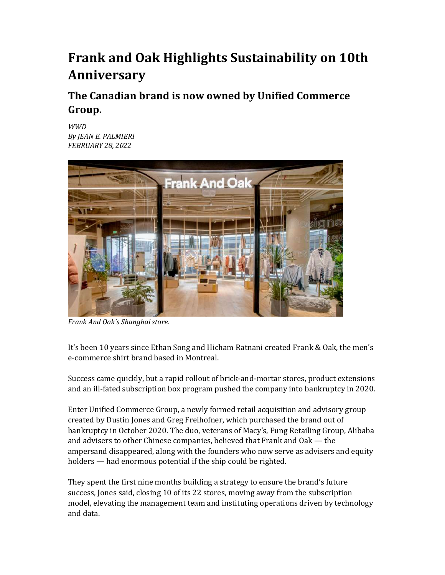## Frank and Oak Highlights Sustainability on 10th Anniversary

## The Canadian brand is now owned by Unified Commerce Group.

WWD By JEAN E. PALMIERI FEBRUARY 28, 2022



Frank And Oak's Shanghai store.

It's been 10 years since Ethan Song and Hicham Ratnani created Frank & Oak, the men's e-commerce shirt brand based in Montreal.

Success came quickly, but a rapid rollout of brick-and-mortar stores, product extensions and an ill-fated subscription box program pushed the company into bankruptcy in 2020.

Enter Unified Commerce Group, a newly formed retail acquisition and advisory group created by Dustin Jones and Greg Freihofner, which purchased the brand out of bankruptcy in October 2020. The duo, veterans of Macy's, Fung Retailing Group, Alibaba and advisers to other Chinese companies, believed that Frank and Oak — the ampersand disappeared, along with the founders who now serve as advisers and equity holders — had enormous potential if the ship could be righted.

They spent the first nine months building a strategy to ensure the brand's future success, Jones said, closing 10 of its 22 stores, moving away from the subscription model, elevating the management team and instituting operations driven by technology and data.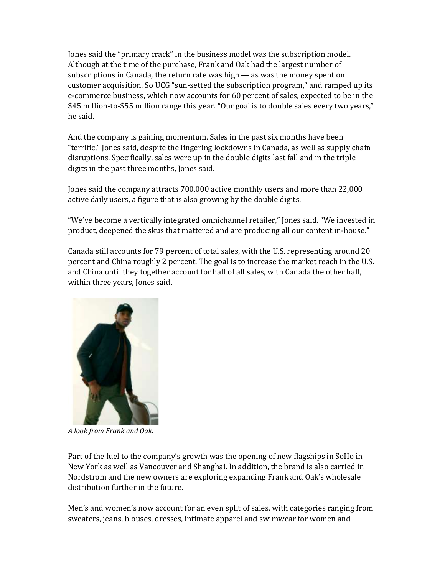Jones said the "primary crack" in the business model was the subscription model. Although at the time of the purchase, Frank and Oak had the largest number of subscriptions in Canada, the return rate was high — as was the money spent on customer acquisition. So UCG "sun-setted the subscription program," and ramped up its e-commerce business, which now accounts for 60 percent of sales, expected to be in the \$45 million-to-\$55 million range this year. "Our goal is to double sales every two years," he said.

And the company is gaining momentum. Sales in the past six months have been "terrific," Jones said, despite the lingering lockdowns in Canada, as well as supply chain disruptions. Specifically, sales were up in the double digits last fall and in the triple digits in the past three months, Jones said.

Jones said the company attracts 700,000 active monthly users and more than 22,000 active daily users, a figure that is also growing by the double digits.

"We've become a vertically integrated omnichannel retailer," Jones said. "We invested in product, deepened the skus that mattered and are producing all our content in-house."

Canada still accounts for 79 percent of total sales, with the U.S. representing around 20 percent and China roughly 2 percent. The goal is to increase the market reach in the U.S. and China until they together account for half of all sales, with Canada the other half, within three years, Jones said.



A look from Frank and Oak.

Part of the fuel to the company's growth was the opening of new flagships in SoHo in New York as well as Vancouver and Shanghai. In addition, the brand is also carried in Nordstrom and the new owners are exploring expanding Frank and Oak's wholesale distribution further in the future.

Men's and women's now account for an even split of sales, with categories ranging from sweaters, jeans, blouses, dresses, intimate apparel and swimwear for women and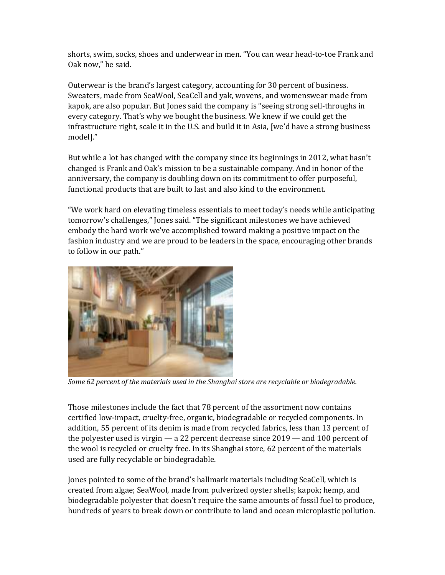shorts, swim, socks, shoes and underwear in men. "You can wear head-to-toe Frank and Oak now," he said.

Outerwear is the brand's largest category, accounting for 30 percent of business. Sweaters, made from SeaWool, SeaCell and yak, wovens, and womenswear made from kapok, are also popular. But Jones said the company is "seeing strong sell-throughs in every category. That's why we bought the business. We knew if we could get the infrastructure right, scale it in the U.S. and build it in Asia, [we'd have a strong business model]."

But while a lot has changed with the company since its beginnings in 2012, what hasn't changed is Frank and Oak's mission to be a sustainable company. And in honor of the anniversary, the company is doubling down on its commitment to offer purposeful, functional products that are built to last and also kind to the environment.

"We work hard on elevating timeless essentials to meet today's needs while anticipating tomorrow's challenges," Jones said. "The significant milestones we have achieved embody the hard work we've accomplished toward making a positive impact on the fashion industry and we are proud to be leaders in the space, encouraging other brands to follow in our path."



Some 62 percent of the materials used in the Shanghai store are recyclable or biodegradable.

Those milestones include the fact that 78 percent of the assortment now contains certified low-impact, cruelty-free, organic, biodegradable or recycled components. In addition, 55 percent of its denim is made from recycled fabrics, less than 13 percent of the polyester used is virgin — a 22 percent decrease since 2019 — and 100 percent of the wool is recycled or cruelty free. In its Shanghai store, 62 percent of the materials used are fully recyclable or biodegradable.

Jones pointed to some of the brand's hallmark materials including SeaCell, which is created from algae; SeaWool, made from pulverized oyster shells; kapok; hemp, and biodegradable polyester that doesn't require the same amounts of fossil fuel to produce, hundreds of years to break down or contribute to land and ocean microplastic pollution.